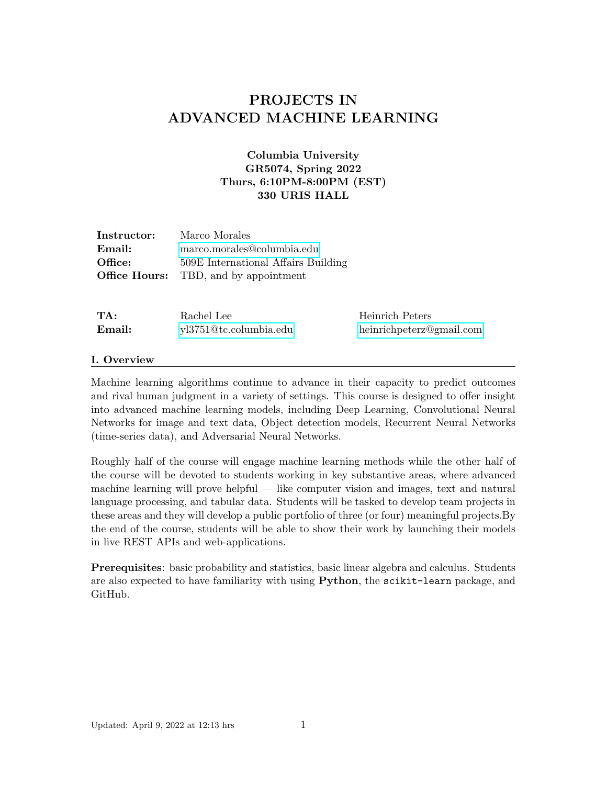# PROJECTS IN ADVANCED MACHINE LEARNING

# Columbia University GR5074, Spring 2022 Thurs, 6:10PM-8:00PM (EST) 330 URIS HALL

| Instructor: | Marco Morales                                |
|-------------|----------------------------------------------|
| Email:      | marco.morales@columbia.edu                   |
| Office:     | 509E International Affairs Building          |
|             | <b>Office Hours:</b> TBD, and by appointment |

| TA:    | Rachel Lee             | Heinrich Peters          |
|--------|------------------------|--------------------------|
| Email: | yl3751@tc.columbia.edu | heinrichpeterz@gmail.com |

#### I. Overview

Machine learning algorithms continue to advance in their capacity to predict outcomes and rival human judgment in a variety of settings. This course is designed to offer insight into advanced machine learning models, including Deep Learning, Convolutional Neural Networks for image and text data, Object detection models, Recurrent Neural Networks (time-series data), and Adversarial Neural Networks.

Roughly half of the course will engage machine learning methods while the other half of the course will be devoted to students working in key substantive areas, where advanced machine learning will prove helpful — like computer vision and images, text and natural language processing, and tabular data. Students will be tasked to develop team projects in these areas and they will develop a public portfolio of three (or four) meaningful projects.By the end of the course, students will be able to show their work by launching their models in live REST APIs and web-applications.

Prerequisites: basic probability and statistics, basic linear algebra and calculus. Students are also expected to have familiarity with using Python, the scikit-learn package, and GitHub.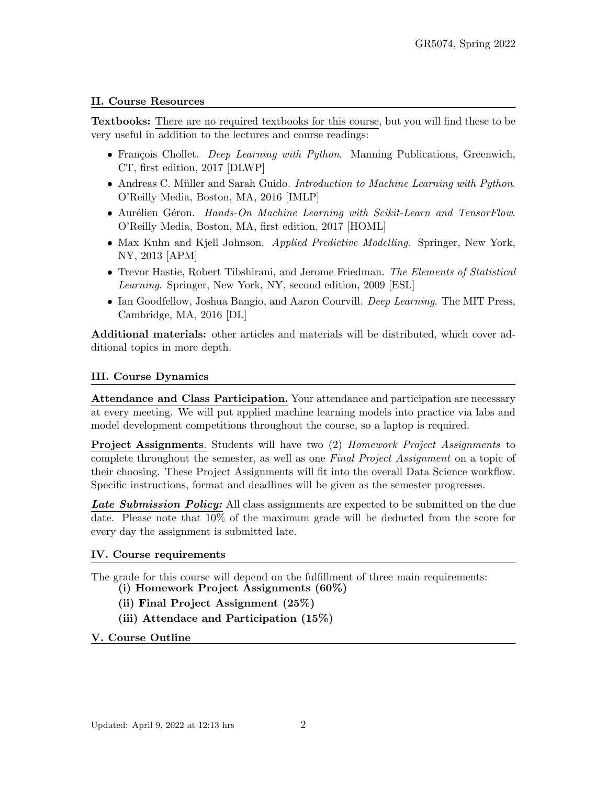## II. Course Resources

Textbooks: There are no required textbooks for this course, but you will find these to be very useful in addition to the lectures and course readings:

- François Chollet. *Deep Learning with Python*. Manning Publications, Greenwich, CT, first edition, 2017 [DLWP]
- Andreas C. Müller and Sarah Guido. Introduction to Machine Learning with Python. O'Reilly Media, Boston, MA, 2016 [IMLP]
- Aurélien Géron. Hands-On Machine Learning with Scikit-Learn and TensorFlow. O'Reilly Media, Boston, MA, first edition, 2017 [HOML]
- Max Kuhn and Kjell Johnson. *Applied Predictive Modelling*. Springer, New York, NY, 2013 [APM]
- Trevor Hastie, Robert Tibshirani, and Jerome Friedman. The Elements of Statistical Learning. Springer, New York, NY, second edition, 2009 [ESL]
- Ian Goodfellow, Joshua Bangio, and Aaron Courvill. *Deep Learning*. The MIT Press, Cambridge, MA, 2016 [DL]

Additional materials: other articles and materials will be distributed, which cover additional topics in more depth.

### III. Course Dynamics

Attendance and Class Participation. Your attendance and participation are necessary at every meeting. We will put applied machine learning models into practice via labs and model development competitions throughout the course, so a laptop is required.

**Project Assignments.** Students will have two (2) Homework Project Assignments to complete throughout the semester, as well as one Final Project Assignment on a topic of their choosing. These Project Assignments will fit into the overall Data Science workflow. Specific instructions, format and deadlines will be given as the semester progresses.

Late Submission Policy: All class assignments are expected to be submitted on the due date. Please note that 10% of the maximum grade will be deducted from the score for every day the assignment is submitted late.

#### IV. Course requirements

The grade for this course will depend on the fulfillment of three main requirements:

- (i) Homework Project Assignments (60%)
- (ii) Final Project Assignment (25%)
- (iii) Attendace and Participation (15%)

## V. Course Outline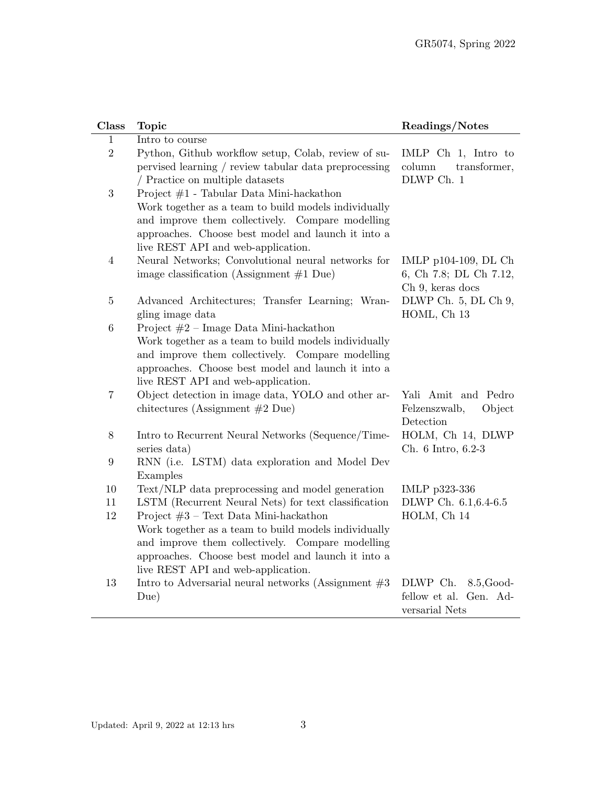| Class            | <b>Topic</b>                                                                                                                                                                                                                                     | Readings/Notes                                                        |
|------------------|--------------------------------------------------------------------------------------------------------------------------------------------------------------------------------------------------------------------------------------------------|-----------------------------------------------------------------------|
| 1                | Intro to course                                                                                                                                                                                                                                  |                                                                       |
| $\overline{2}$   | Python, Github workflow setup, Colab, review of su-<br>pervised learning / review tabular data preprocessing<br>/ Practice on multiple datasets                                                                                                  | IMLP Ch 1, Intro to<br>column<br>transformer,<br>DLWP Ch. 1           |
| $\boldsymbol{3}$ | Project #1 - Tabular Data Mini-hackathon<br>Work together as a team to build models individually<br>and improve them collectively. Compare modelling<br>approaches. Choose best model and launch it into a<br>live REST API and web-application. |                                                                       |
| $\overline{4}$   | Neural Networks; Convolutional neural networks for<br>image classification (Assignment $#1$ Due)                                                                                                                                                 | IMLP p104-109, DL Ch<br>6, Ch 7.8; DL Ch 7.12,<br>Ch 9, keras docs    |
| $\overline{5}$   | Advanced Architectures; Transfer Learning; Wran-<br>gling image data                                                                                                                                                                             | DLWP Ch. 5, DL Ch 9,<br>HOML, Ch 13                                   |
| $\,6\,$          | Project $#2$ – Image Data Mini-hackathon<br>Work together as a team to build models individually<br>and improve them collectively. Compare modelling<br>approaches. Choose best model and launch it into a<br>live REST API and web-application. |                                                                       |
| $\overline{7}$   | Object detection in image data, YOLO and other ar-<br>chitectures (Assignment $#2$ Due)                                                                                                                                                          | Yali Amit and Pedro<br>Felzenszwalb,<br>Object<br>Detection           |
| $8\,$            | Intro to Recurrent Neural Networks (Sequence/Time-<br>series data)                                                                                                                                                                               | HOLM, Ch 14, DLWP<br>Ch. 6 Intro, 6.2-3                               |
| $9\,$            | RNN (i.e. LSTM) data exploration and Model Dev<br>Examples                                                                                                                                                                                       |                                                                       |
| $10\,$           | Text/NLP data preprocessing and model generation                                                                                                                                                                                                 | IMLP p323-336                                                         |
| 11               | LSTM (Recurrent Neural Nets) for text classification                                                                                                                                                                                             | DLWP Ch. 6.1, 6.4-6.5                                                 |
| $12\,$           | Project $#3$ – Text Data Mini-hackathon<br>Work together as a team to build models individually<br>and improve them collectively. Compare modelling<br>approaches. Choose best model and launch it into a<br>live REST API and web-application.  | HOLM, Ch 14                                                           |
| 13               | Intro to Adversarial neural networks (Assignment $#3$<br>Due)                                                                                                                                                                                    | DLWP Ch.<br>$8.5$ , Good-<br>fellow et al. Gen. Ad-<br>versarial Nets |